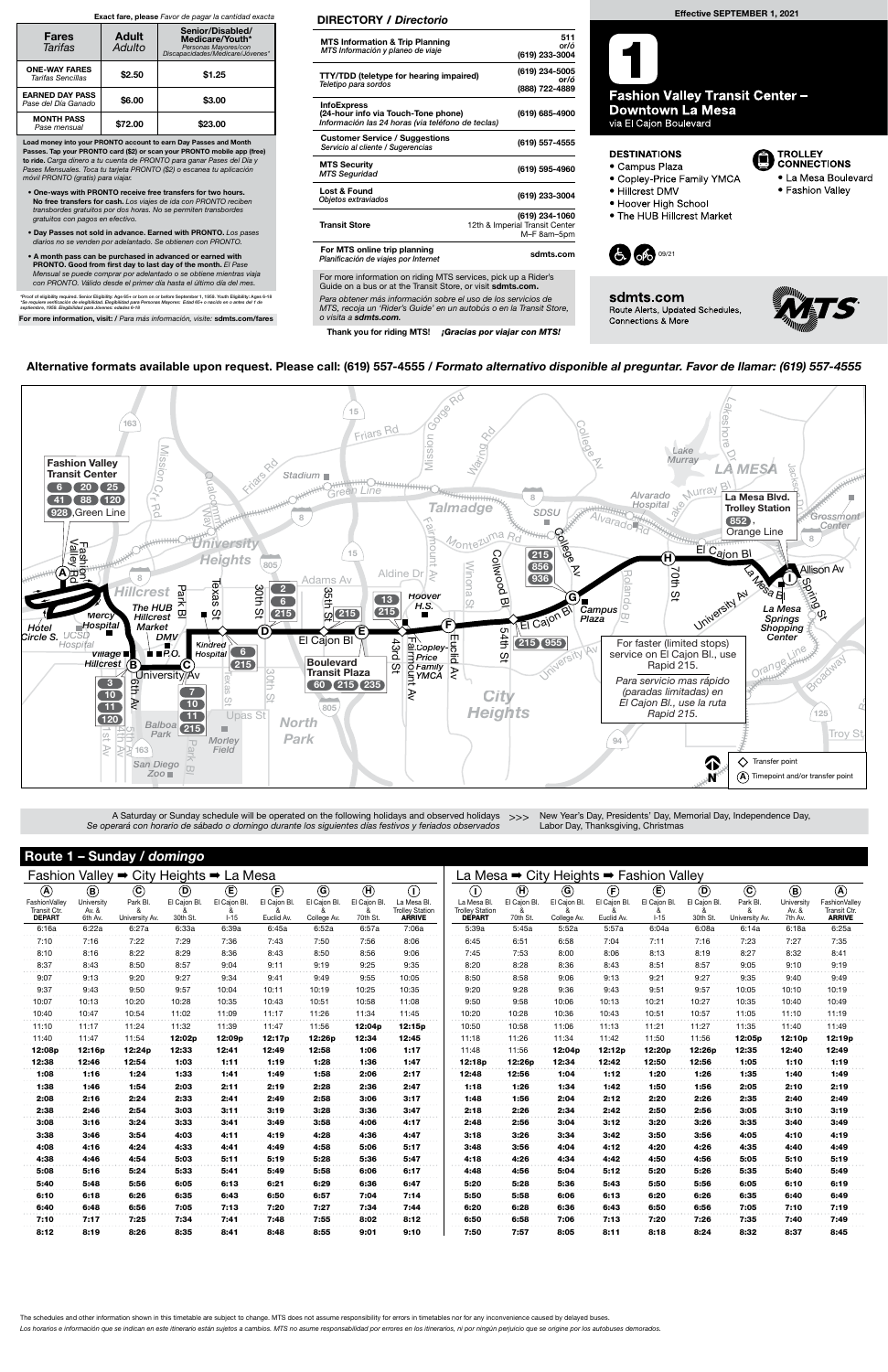| Route 1 - Sunday / domingo                                       | Fashion Valley → City Heights → La Mesa       |                                       |                                           |                                            |                                                          |                                               |                                              |                                                                         |                                                                                      |                                                       | La Mesa → City Heights → Fashion Valley       |                                                       |                                               |                                            |                                       |                                               |                                                               |  |  |  |  |
|------------------------------------------------------------------|-----------------------------------------------|---------------------------------------|-------------------------------------------|--------------------------------------------|----------------------------------------------------------|-----------------------------------------------|----------------------------------------------|-------------------------------------------------------------------------|--------------------------------------------------------------------------------------|-------------------------------------------------------|-----------------------------------------------|-------------------------------------------------------|-----------------------------------------------|--------------------------------------------|---------------------------------------|-----------------------------------------------|---------------------------------------------------------------|--|--|--|--|
| $^{\circledR}$<br>FashionValley<br>Transit Ctr.<br><b>DEPART</b> | $\circledR$<br>University<br>Av. &<br>6th Av. | $\odot$<br>Park Bl.<br>University Av. | $^\copyright$<br>El Cajon Bl.<br>30th St. | $^{\circledR}$<br>El Cajon Bl.<br>$1 - 15$ | $\left(\widehat{F}\right)$<br>El Cajon Bl.<br>Euclid Av. | $\circledcirc$<br>El Cajon Bl.<br>College Av. | $\bigoplus$<br>El Cajon Bl.<br>ጼ<br>70th St. | $\circled{1}$<br>La Mesa Bl.<br><b>Trolley Station</b><br><b>ARRIVE</b> | $\left( \mathrm{D}\right)$<br>La Mesa Bl.<br><b>Trolley Station</b><br><b>DEPART</b> | $\textcircled{\textsf{H}}$<br>El Cajon Bl<br>70th St. | $\circledcirc$<br>El Cajon Bl.<br>College Av. | $^\circled{\textbf{F}}$<br>El Cajon Bl.<br>Euclid Av. | $^{\circledR}$<br>El Cajon Bl.<br>&<br>$I-15$ | $\circledcirc$<br>El Cajon Bl.<br>30th St. | $\odot$<br>Park Bl.<br>University Av. | $\circledR$<br>University<br>Av. &<br>7th Av. | $\circledA$<br>FashionValley<br>Transit Ctr.<br><b>ARRIVE</b> |  |  |  |  |
| 6:16a                                                            | 6:22a                                         | 6:27a                                 | 6:33a                                     | 6:39a                                      | 6:45a                                                    | 6:52a                                         | 6:57a                                        | 7:06a                                                                   | 5:39a                                                                                | 5:45a                                                 | 5:52a                                         | 5:57a                                                 | 6:04a                                         | 6:08a                                      | 6:14a                                 | 6:18a                                         | 6:25a                                                         |  |  |  |  |
| 7:10                                                             | 7:16                                          | 7:22                                  | 7:29                                      | 7:36                                       | 7:43                                                     | 7:50                                          | 7:56                                         | 8:06                                                                    | 6:45                                                                                 | 6:51                                                  | 6:58                                          | 7:04                                                  | 7:11                                          | 7:16                                       | 7:23                                  | 7:27                                          | 7:35                                                          |  |  |  |  |
| 8:10                                                             | 8:16                                          | 8:22                                  | 8:29                                      | 8:36                                       | 8:43                                                     | 8:50                                          | 8:56                                         | 9:06                                                                    | 7:45                                                                                 | 7:53                                                  | 8:00                                          | 8:06                                                  | 8:13                                          | 8:19                                       | 8:27                                  | 8:32                                          | 8:41                                                          |  |  |  |  |
| 8:37                                                             | 8:43                                          | 8:50                                  | 8:57                                      | 9:04                                       | 9:11                                                     | 9:19                                          | 9:25                                         | 9:35                                                                    | 8:20                                                                                 | 8:28                                                  | 8:36                                          | 8:43                                                  | 8:51                                          | 8:57                                       | 9:05                                  | 9:10                                          | 9:19                                                          |  |  |  |  |
| 9:07                                                             | 9:13                                          | 9:20                                  | 9:27                                      | 9:34                                       | 9:41                                                     | 9:49                                          | 9:55                                         | 10:05                                                                   | 8:50                                                                                 | 8:58                                                  | 9:06                                          | 9:13                                                  | 9:21                                          | 9:27                                       | 9:35                                  | 9:40                                          | 9:49                                                          |  |  |  |  |
| 9:37                                                             | 9:43                                          | 9:50                                  | 9:57                                      | 10:04                                      | 10:11                                                    | 10:19                                         | 10:25                                        | 10:35                                                                   | 9:20                                                                                 | 9:28                                                  | 9:36                                          | 9:43                                                  | 9:51                                          | 9:57                                       | 10:05                                 | 10:10                                         | 10:19                                                         |  |  |  |  |
| 10:07                                                            | 10:13                                         | 10:20                                 | 10:28                                     | 10:35                                      | 10:43                                                    | 10:51                                         | 10:58                                        | 11:08                                                                   | 9:50                                                                                 | 9:58                                                  | 10:06                                         | 10:13                                                 | 10:21                                         | 10:27                                      | 10:35                                 | 10:40                                         | 10:49                                                         |  |  |  |  |
| 10:40                                                            | 10:47                                         | 10:54                                 | 11:02                                     | 11:09                                      | 11:17                                                    | 11:26                                         | 11:34                                        | 11:45                                                                   | 10:20                                                                                | 10:28                                                 | 10:36                                         | 10:43                                                 | 10:51                                         | 10:57                                      | 11:05                                 | 11:10                                         | 11:19                                                         |  |  |  |  |
| 11:10                                                            | 11:17                                         | 11:24                                 | 11:32                                     | 11:39                                      | 11:47                                                    | 11:56                                         | 12:04p                                       | 12:15p                                                                  | 10:50                                                                                | 10:58                                                 | 11:06                                         | 11:13                                                 | 11:21                                         | 11:27                                      | 11:35                                 | 11:40                                         | 11:49                                                         |  |  |  |  |
| 11:40                                                            | 11:47                                         | 11:54                                 | 12:02p                                    | 12:09p                                     | 12:17p                                                   | 12:26p                                        | 12:34                                        | 12:45                                                                   | 11:18                                                                                | 11:26                                                 | 11:34                                         | 11:42                                                 | 11:50                                         | 11:56                                      | 12:05p                                | 12:10p                                        | 12:19p                                                        |  |  |  |  |
| 12:08p                                                           | 12:16p                                        | 12:24p                                | 12:33                                     | 12:41                                      | 12:49                                                    | 12:58                                         | 1:06                                         | 1:17                                                                    | 11:48                                                                                | 11:56                                                 | 12:04p                                        | 12:12p                                                | 12:20p                                        | 12:26p                                     | 12:35                                 | 12:40                                         | 12:49                                                         |  |  |  |  |
| 12:38                                                            | 12:46                                         | 12:54                                 | 1:03                                      | 1:11                                       | 1:19                                                     | 1:28                                          | 1:36                                         | 1:47                                                                    | 12:18p                                                                               | 12:26p                                                | 12:34                                         | 12:42                                                 | 12:50                                         | 12:56                                      | 1:05                                  | 1:10                                          | 1:19                                                          |  |  |  |  |
| 1:08                                                             | 1:16                                          | 1:24                                  | 1:33                                      | 1:41                                       | 1:49                                                     | 1:58                                          | 2:06                                         | 2:17                                                                    | 12:48                                                                                | 12:56                                                 | 1:04                                          | 1:12                                                  | 1:20                                          | 1:26                                       | 1:35                                  | 1:40                                          | 1:49                                                          |  |  |  |  |
| 1:38                                                             | 1:46                                          | 1:54                                  | 2:03                                      | 2:11                                       | 2:19                                                     | 2:28                                          | 2:36                                         | 2:47                                                                    | 1:18                                                                                 | 1:26                                                  | 1:34                                          | 1:42                                                  | 1:50                                          | 1:56                                       | 2:05                                  | 2:10                                          | 2:19                                                          |  |  |  |  |
| 2:08                                                             | 2:16                                          | 2:24                                  | 2:33                                      | 2:41                                       | 2:49                                                     | 2:58                                          | 3:06                                         | 3:17                                                                    | 1:48                                                                                 | 1:56                                                  | 2:04                                          | 2:12                                                  | 2:20                                          | 2:26                                       | 2:35                                  | 2:40                                          | 2:49                                                          |  |  |  |  |
| 2:38                                                             | 2:46                                          | 2:54                                  | 3:03                                      | 3:11                                       | 3:19                                                     | 3:28                                          | 3:36                                         | 3:47                                                                    | 2:18                                                                                 | 2:26                                                  | 2:34                                          | 2:42                                                  | 2:50                                          | 2:56                                       | 3:05                                  | 3:10                                          | 3:19                                                          |  |  |  |  |
| 3:08                                                             | 3:16                                          | 3:24                                  | 3:33                                      | 3:41                                       | 3:49                                                     | 3:58                                          | 4:06                                         | 4:17                                                                    | 2:48                                                                                 | 2:56                                                  | 3:04                                          | 3:12                                                  | 3:20                                          | 3:26                                       | 3:35                                  | 3:40                                          | 3:49                                                          |  |  |  |  |
| 3:38                                                             | 3:46                                          | 3:54                                  | 4:03                                      | 4:11                                       | 4:19                                                     | 4:28                                          | 4:36                                         | 4:47                                                                    | 3:18                                                                                 | 3:26                                                  | 3:34                                          | 3:42                                                  | 3:50                                          | 3:56                                       | 4:05                                  | 4:10                                          | 4:19                                                          |  |  |  |  |
| 4:08                                                             | 4:16                                          | 4:24                                  | 4:33                                      | 4:41                                       | 4:49                                                     | 4:58                                          | 5:06                                         | 5:17                                                                    | 3:48                                                                                 | 3:56                                                  | 4:04                                          | 4:12                                                  | 4:20                                          | 4:26                                       | 4:35                                  | 4:40                                          | 4:49                                                          |  |  |  |  |
| 4:38                                                             | 4:46                                          | 4:54                                  | 5:03                                      | 5:11                                       | 5:19                                                     | 5:28                                          | 5:36                                         | 5:47                                                                    | 4:18                                                                                 | 4:26                                                  | 4:34                                          | 4:42                                                  | 4:50                                          | 4:56                                       | 5:05                                  | 5:10                                          | 5:19                                                          |  |  |  |  |
| 5:08                                                             | 5:16                                          | 5:24                                  | 5:33                                      | 5:41                                       | 5:49                                                     | 5:58                                          | 6:06                                         | 6:17                                                                    | 4:48                                                                                 | 4:56                                                  | 5:04                                          | 5:12                                                  | 5:20                                          | 5:26                                       | 5:35                                  | 5:40                                          | 5:49                                                          |  |  |  |  |
| 5:40                                                             | 5:48                                          | 5:56                                  | 6:05                                      | 6:13                                       | 6:21                                                     | 6:29                                          | 6:36                                         | 6:47                                                                    | 5:20                                                                                 | 5:28                                                  | 5:36                                          | 5:43                                                  | 5:50                                          | 5:56                                       | 6:05                                  | 6:10                                          | 6:19                                                          |  |  |  |  |
| 6:10                                                             | 6:18                                          | 6:26                                  | 6:35                                      | 6:43                                       | 6:50                                                     | 6:57                                          | 7:04                                         | 7:14                                                                    | 5:50                                                                                 | 5:58                                                  | 6:06                                          | 6:13                                                  | 6:20                                          | 6:26                                       | 6:35                                  | 6:40                                          | 6:49                                                          |  |  |  |  |
| 6:40                                                             | 6:48                                          | 6:56                                  | 7:05                                      | 7:13                                       | 7:20                                                     | 7:27                                          | 7:34                                         | 7:44                                                                    | 6:20                                                                                 | 6:28                                                  | 6:36                                          | 6:43                                                  | 6:50                                          | 6:56                                       | 7:05                                  | 7:10                                          | 7:19                                                          |  |  |  |  |
| 7:10                                                             | 7:17                                          | 7:25                                  | 7:34                                      | 7:41                                       | 7:48                                                     | 7:55                                          | 8:02                                         | 8:12                                                                    | 6:50                                                                                 | 6:58                                                  | 7:06                                          | 7:13                                                  | 7:20                                          | 7:26                                       | 7:35                                  | 7:40                                          | 7:49                                                          |  |  |  |  |
| 8:12                                                             | 8:19                                          | 8:26                                  | 8:35                                      | 8:41                                       | 8:48                                                     | 8:55                                          | 9:01                                         | 9:10                                                                    | 7:50                                                                                 | 7:57                                                  | 8:05                                          | 8:11                                                  | 8:18                                          | 8:24                                       | 8:32                                  | 8:37                                          | 8:45                                                          |  |  |  |  |

The schedules and other information shown in this timetable are subject to change. MTS does not assume responsibility for errors in timetables nor for any inconvenience caused by delayed buses. Los horarios e información que se indican en este itinerario están sujetos a cambios. MTS no asume responsabilidad por errores en los itinerarios, ni por ningún perjuicio que se origine por los autobuses demorados.

A Saturday or Sunday schedule will be operated on the following holidays and observed holidays  $\gt$ Se operará con horario de sábado o domingo durante los siguientes días festivos y feriados observados

For more information on riding MTS services, pick up a Rider's Guide on a bus or at the Transit Store, or visit sdmts.com.

### Alternative formats available upon request. Please call: (619) 557-4555 / Formato alternativo disponible al preguntar. Favor de llamar: (619) 557-4555

New Year's Day, Presidents' Day, Memorial Day, Independence Day, Labor Day, Thanksgiving, Christmas



Load money into your PRONTO account to earn Day Passes and Month Passes. Tap your PRONTO card (\$2) or scan your PRONTO mobile app (free) to ride. Carga dinero a tu cuenta de PRONTO para ganar Pases del Día y Pases Mensuales. Toca tu tarjeta PRONTO (\$2) o escanea tu aplicación móvil PRONTO (gratis) para viajar.

- One-ways with PRONTO receive free transfers for two hours. No free transfers for cash. Los viajes de ida con PRONTO reciben transbordes gratuitos por dos horas. No se permiten transbordes gratuitos con pagos en efectivo.
- Day Passes not sold in advance. Earned with PRONTO. Los pases diarios no se venden por adelantado. Se obtienen con PRONTO.
- A month pass can be purchased in advanced or earned with PRONTO. Good from first day to last day of the month. El Pase Mensual se puede comprar por adelantado o se obtiene mientras viaja con PRONTO. Válido desde el primer día hasta el último día del mes.

\*Proof of eligibility required. Senior Eligibility: Age 65+ or born on or before September 1, 1959. Youth Eligibility: Ages 6-18<br>\*Se requiere verificación de elegibilidad. Elegibilidad para Personas Mayores: Edad 65+ o nac

For more information, visit: / Para más información, visite: sdmts.com/fares

#### Exact fare, please Favor de pagar la cantidad exacta

| <b>Fares</b><br>Tarifas                       | <b>Adult</b><br>Adulto | Senior/Disabled/<br>Medicare/Youth*<br>Personas Mayores/con<br>Discapacidades/Medicare/Jóvenes* |  |  |  |  |  |  |
|-----------------------------------------------|------------------------|-------------------------------------------------------------------------------------------------|--|--|--|--|--|--|
| <b>ONE-WAY FARES</b><br>Tarifas Sencillas     | \$2.50                 | \$1.25                                                                                          |  |  |  |  |  |  |
| <b>EARNED DAY PASS</b><br>Pase del Día Ganado | \$6.00                 | \$3.00                                                                                          |  |  |  |  |  |  |
| <b>MONTH PASS</b><br>Pase mensual             | \$72.00                | \$23.00                                                                                         |  |  |  |  |  |  |

Para obtener más información sobre el uso de los servicios de MTS, recoja un 'Rider's Guide' en un autobús o en la Transit Store, o visita a sdmts.com.

Thank you for riding MTS! ¡Gracias por viajar con MTS!

## DIRECTORY / Directorio

| <b>MTS Information &amp; Trip Planning</b><br>MTS Información y planeo de viaje                                | 511<br>or/ó<br>(619) 233-3004                                   |
|----------------------------------------------------------------------------------------------------------------|-----------------------------------------------------------------|
| <b>TTY/TDD (teletype for hearing impaired)</b><br>Teletipo para sordos                                         | (619) 234-5005<br>or/ó<br>(888) 722-4889                        |
| <b>InfoExpress</b><br>(24-hour info via Touch-Tone phone)<br>Información las 24 horas (via teléfono de teclas) | (619) 685-4900                                                  |
| <b>Customer Service / Suggestions</b><br>Servicio al cliente / Sugerencias                                     | (619) 557-4555                                                  |
| <b>MTS Security</b><br><b>MTS Seguridad</b>                                                                    | (619) 595-4960                                                  |
| Lost & Found<br>Objetos extraviados                                                                            | (619) 233-3004                                                  |
| <b>Transit Store</b>                                                                                           | (619) 234-1060<br>12th & Imperial Transit Center<br>M-F 8am-5pm |
| For MTS online trip planning<br>Planificación de viajes por Internet                                           | sdmts.com                                                       |
| $\mathsf{E}_{\mathsf{Q}'}$ mars information on riding $\mathsf{MTC}$ convices piels up a $\mathsf{D}$ ider's   |                                                                 |

## Effective SEPTEMBER 1, 2021



via El Cajon Boulevard

#### **DESTINATIONS**

- Campus Plaza
- · Copley-Price Family YMCA
- Hillcrest DMV
- Hoover High School
- The HUB Hillcrest Market



sdmts.com Route Alerts, Updated Schedules, **Connections & More** 



**TROLLEY CONNECTIONS** 

• La Mesa Boulevard • Fashion Valley